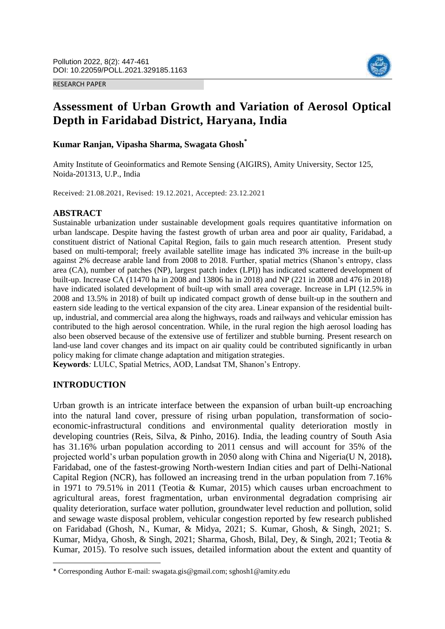#### RESEARCH PAPER



# **Assessment of Urban Growth and Variation of Aerosol Optical Depth in Faridabad District, Haryana, India**

## **Kumar Ranjan, Vipasha Sharma, Swagata Ghosh\***

Amity Institute of Geoinformatics and Remote Sensing (AIGIRS), Amity University, Sector 125, Noida-201313, U.P., India

Received: 21.08.2021, Revised: 19.12.2021, Accepted: 23.12.2021

### **ABSTRACT**

Sustainable urbanization under sustainable development goals requires quantitative information on urban landscape. Despite having the fastest growth of urban area and poor air quality, Faridabad, a constituent district of National Capital Region, fails to gain much research attention. Present study based on multi-temporal; freely available satellite image has indicated 3% increase in the built-up against 2% decrease arable land from 2008 to 2018. Further, spatial metrics (Shanon's entropy, class area (CA), number of patches (NP), largest patch index (LPI)) has indicated scattered development of built-up. Increase CA (11470 ha in 2008 and 13806 ha in 2018) and NP (221 in 2008 and 476 in 2018) have indicated isolated development of built-up with small area coverage. Increase in LPI (12.5% in 2008 and 13.5% in 2018) of built up indicated compact growth of dense built-up in the southern and eastern side leading to the vertical expansion of the city area. Linear expansion of the residential builtup, industrial, and commercial area along the highways, roads and railways and vehicular emission has contributed to the high aerosol concentration. While, in the rural region the high aerosol loading has also been observed because of the extensive use of fertilizer and stubble burning. Present research on land-use land cover changes and its impact on air quality could be contributed significantly in urban policy making for climate change adaptation and mitigation strategies.

**Keywords***:* LULC, Spatial Metrics, AOD, Landsat TM, Shanon's Entropy.

### **INTRODUCTION**

 $\overline{\phantom{a}}$ 

Urban growth is an intricate interface between the expansion of urban built-up encroaching into the natural land cover, pressure of rising urban population, transformation of socioeconomic-infrastructural conditions and environmental quality deterioration mostly in developing countries (Reis, Silva, & Pinho, 2016). India, the leading country of South Asia has 31.16% urban population according to 2011 census and will account for 35% of the projected world's urban population growth in 2050 along with China and Nigeria(U N, 2018)**.** Faridabad, one of the fastest-growing North-western Indian cities and part of Delhi-National Capital Region (NCR), has followed an increasing trend in the urban population from 7.16% in 1971 to 79.51% in 2011 (Teotia & Kumar, 2015) which causes urban encroachment to agricultural areas, forest fragmentation, urban environmental degradation comprising air quality deterioration, surface water pollution, groundwater level reduction and pollution, solid and sewage waste disposal problem, vehicular congestion reported by few research published on Faridabad (Ghosh, N., Kumar, & Midya, 2021; S. Kumar, Ghosh, & Singh, 2021; S. Kumar, Midya, Ghosh, & Singh, 2021; Sharma, Ghosh, Bilal, Dey, & Singh, 2021; Teotia & Kumar, 2015). To resolve such issues, detailed information about the extent and quantity of

<sup>\*</sup> Corresponding Author E-mail: swagata.gis@gmail.com; sghosh1@amity.edu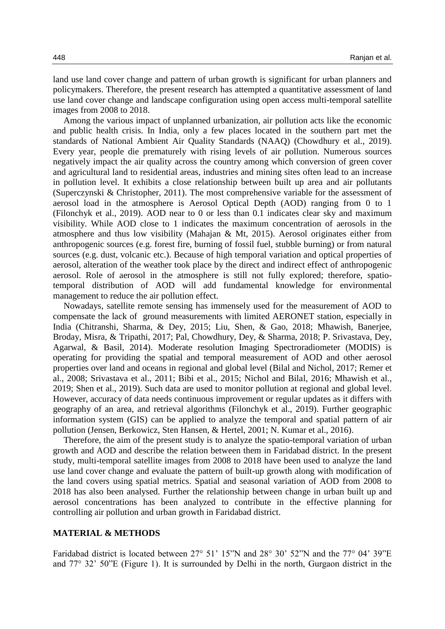land use land cover change and pattern of urban growth is significant for urban planners and policymakers. Therefore, the present research has attempted a quantitative assessment of land use land cover change and landscape configuration using open access multi-temporal satellite images from 2008 to 2018.

Among the various impact of unplanned urbanization, air pollution acts like the economic and public health crisis. In India, only a few places located in the southern part met the standards of National Ambient Air Quality Standards (NAAQ) (Chowdhury et al., 2019). Every year, people die prematurely with rising levels of air pollution. Numerous sources negatively impact the air quality across the country among which conversion of green cover and agricultural land to residential areas, industries and mining sites often lead to an increase in pollution level. It exhibits a close relationship between built up area and air pollutants (Superczynski & Christopher, 2011). The most comprehensive variable for the assessment of aerosol load in the atmosphere is Aerosol Optical Depth (AOD) ranging from 0 to 1 (Filonchyk et al., 2019). AOD near to 0 or less than 0.1 indicates clear sky and maximum visibility. While AOD close to 1 indicates the maximum concentration of aerosols in the atmosphere and thus low visibility (Mahajan & Mt, 2015). Aerosol originates either from anthropogenic sources (e.g. forest fire, burning of fossil fuel, stubble burning) or from natural sources (e.g. dust, volcanic etc.). Because of high temporal variation and optical properties of aerosol, alteration of the weather took place by the direct and indirect effect of anthropogenic aerosol. Role of aerosol in the atmosphere is still not fully explored; therefore, spatiotemporal distribution of AOD will add fundamental knowledge for environmental management to reduce the air pollution effect.

Nowadays, satellite remote sensing has immensely used for the measurement of AOD to compensate the lack of ground measurements with limited AERONET station, especially in India (Chitranshi, Sharma, & Dey, 2015; Liu, Shen, & Gao, 2018; Mhawish, Banerjee, Broday, Misra, & Tripathi, 2017; Pal, Chowdhury, Dey, & Sharma, 2018; P. Srivastava, Dey, Agarwal, & Basil, 2014). Moderate resolution Imaging Spectroradiometer (MODIS) is operating for providing the spatial and temporal measurement of AOD and other aerosol properties over land and oceans in regional and global level (Bilal and Nichol, 2017; Remer et al., 2008; Srivastava et al., 2011; Bibi et al., 2015; Nichol and Bilal, 2016; Mhawish et al., 2019; Shen et al., 2019). Such data are used to monitor pollution at regional and global level. However, accuracy of data needs continuous improvement or regular updates as it differs with geography of an area, and retrieval algorithms (Filonchyk et al., 2019). Further geographic information system (GIS) can be applied to analyze the temporal and spatial pattern of air pollution (Jensen, Berkowicz, Sten Hansen, & Hertel, 2001; N. Kumar et al., 2016).

Therefore, the aim of the present study is to analyze the spatio-temporal variation of urban growth and AOD and describe the relation between them in Faridabad district. In the present study, multi-temporal satellite images from 2008 to 2018 have been used to analyze the land use land cover change and evaluate the pattern of built-up growth along with modification of the land covers using spatial metrics. Spatial and seasonal variation of AOD from 2008 to 2018 has also been analysed. Further the relationship between change in urban built up and aerosol concentrations has been analyzed to contribute in the effective planning for controlling air pollution and urban growth in Faridabad district.

#### **MATERIAL & METHODS**

Faridabad district is located between 27° 51' 15"N and 28° 30' 52"N and the 77° 04' 39"E and 77° 32' 50"E (Figure 1). It is surrounded by Delhi in the north, Gurgaon district in the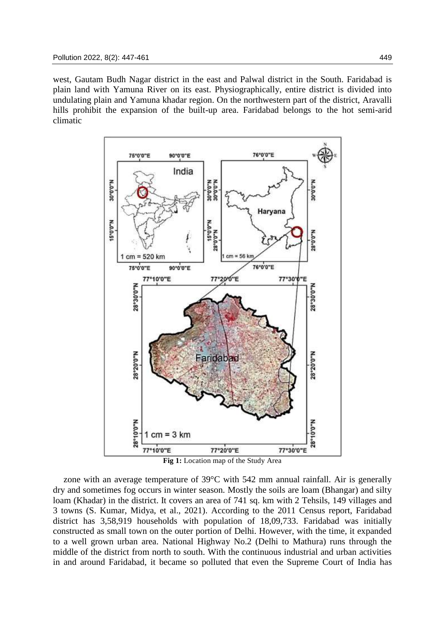west, Gautam Budh Nagar district in the east and Palwal district in the South. Faridabad is plain land with Yamuna River on its east. Physiographically, entire district is divided into undulating plain and Yamuna khadar region. On the northwestern part of the district, Aravalli hills prohibit the expansion of the built-up area. Faridabad belongs to the hot semi-arid climatic





zone with an average temperature of  $39^{\circ}$ C with 542 mm annual rainfall. Air is generally dry and sometimes fog occurs in winter season. Mostly the soils are loam (Bhangar) and silty loam (Khadar) in the district. It covers an area of 741 sq. km with 2 Tehsils, 149 villages and 3 towns (S. Kumar, Midya, et al., 2021). According to the 2011 Census report, Faridabad district has 3,58,919 households with population of 18,09,733. Faridabad was initially constructed as small town on the outer portion of Delhi. However, with the time, it expanded to a well grown urban area. National Highway No.2 (Delhi to Mathura) runs through the middle of the district from north to south. With the continuous industrial and urban activities in and around Faridabad, it became so polluted that even the Supreme Court of India has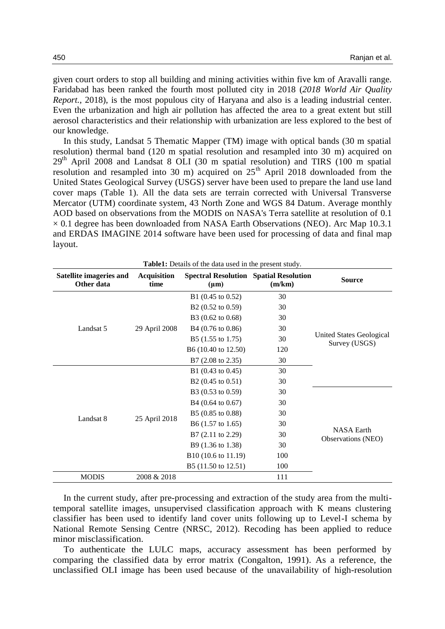given court orders to stop all building and mining activities within five km of Aravalli range. Faridabad has been ranked the fourth most polluted city in 2018 (*2018 World Air Quality Report.*, 2018), is the most populous city of Haryana and also is a leading industrial center. Even the urbanization and high air pollution has affected the area to a great extent but still aerosol characteristics and their relationship with urbanization are less explored to the best of our knowledge.

In this study, Landsat 5 Thematic Mapper (TM) image with optical bands (30 m spatial resolution) thermal band (120 m spatial resolution and resampled into 30 m) acquired on  $29<sup>th</sup>$  April 2008 and Landsat 8 OLI (30 m spatial resolution) and TIRS (100 m spatial resolution and resampled into 30 m) acquired on  $25<sup>th</sup>$  April 2018 downloaded from the United States Geological Survey (USGS) server have been used to prepare the land use land cover maps (Table 1). All the data sets are terrain corrected with Universal Transverse Mercator (UTM) coordinate system, 43 North Zone and WGS 84 Datum. Average monthly AOD based on observations from the MODIS on NASA's Terra satellite at resolution of 0.1  $\times$  0.1 degree has been downloaded from NASA Earth Observations (NEO). Arc Map 10.3.1 and ERDAS IMAGINE 2014 software have been used for processing of data and final map layout.

|                                       |                            | <b>Table1:</b> Details of the data used in the present study. |        |                                           |
|---------------------------------------|----------------------------|---------------------------------------------------------------|--------|-------------------------------------------|
| Satellite imageries and<br>Other data | <b>Acquisition</b><br>time | <b>Spectral Resolution Spatial Resolution</b><br>$(\mu m)$    | (m/km) | <b>Source</b>                             |
| Landsat 5                             |                            | B1 (0.45 to 0.52)                                             | 30     |                                           |
|                                       |                            | B2 (0.52 to 0.59)                                             | 30     |                                           |
|                                       |                            | B3 (0.62 to 0.68)                                             | 30     |                                           |
|                                       | 29 April 2008              | B4 (0.76 to 0.86)                                             | 30     |                                           |
|                                       |                            | B5 (1.55 to 1.75)                                             | 30     | United States Geological<br>Survey (USGS) |
|                                       |                            | B6 (10.40 to 12.50)                                           | 120    |                                           |
|                                       |                            | B7 (2.08 to 2.35)                                             | 30     |                                           |
| Landsat 8                             | 25 April 2018              | B1 $(0.43 \text{ to } 0.45)$                                  | 30     |                                           |
|                                       |                            | B2 $(0.45 \text{ to } 0.51)$                                  | 30     |                                           |
|                                       |                            | B3 (0.53 to 0.59)                                             | 30     |                                           |
|                                       |                            | B4 (0.64 to 0.67)                                             | 30     |                                           |
|                                       |                            | B5 (0.85 to 0.88)                                             | 30     |                                           |
|                                       |                            | B6 (1.57 to 1.65)                                             | 30     |                                           |
|                                       |                            | B7 (2.11 to 2.29)                                             | 30     | <b>NASA Earth</b>                         |
|                                       |                            | B9 (1.36 to 1.38)                                             | 30     | Observations (NEO)                        |
|                                       |                            | B10 (10.6 to 11.19)                                           | 100    |                                           |
|                                       |                            | B5 (11.50 to 12.51)                                           | 100    |                                           |
| <b>MODIS</b>                          | 2008 & 2018                |                                                               | 111    |                                           |

In the current study, after pre-processing and extraction of the study area from the multitemporal satellite images, unsupervised classification approach with K means clustering classifier has been used to identify land cover units following up to Level-I schema by National Remote Sensing Centre (NRSC, 2012). Recoding has been applied to reduce minor misclassification.

To authenticate the LULC maps, accuracy assessment has been performed by comparing the classified data by error matrix (Congalton, 1991). As a reference, the unclassified OLI image has been used because of the unavailability of high-resolution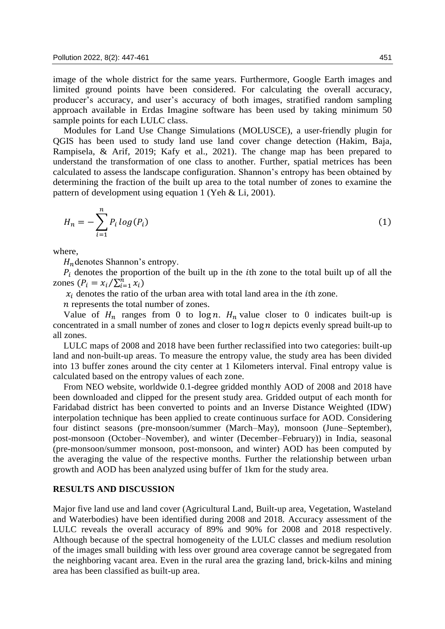image of the whole district for the same years. Furthermore, Google Earth images and limited ground points have been considered. For calculating the overall accuracy, producer's accuracy, and user's accuracy of both images, stratified random sampling approach available in Erdas Imagine software has been used by taking minimum 50 sample points for each LULC class.

Modules for Land Use Change Simulations (MOLUSCE), a user-friendly plugin for QGIS has been used to study land use land cover change detection (Hakim, Baja, Rampisela, & Arif, 2019; Kafy et al., 2021). The change map has been prepared to understand the transformation of one class to another. Further, spatial metrices has been calculated to assess the landscape configuration. Shannon's entropy has been obtained by determining the fraction of the built up area to the total number of zones to examine the pattern of development using equation 1 (Yeh & Li, 2001).

$$
H_n = -\sum_{i=1}^n P_i \log(P_i) \tag{1}
$$

where,

 $H_n$  denotes Shannon's entropy.

 $P_i$  denotes the proportion of the built up in the *i*th zone to the total built up of all the zones  $(P_i = x_i / \sum_{i=1}^n x_i)$ 

 $x_i$  denotes the ratio of the urban area with total land area in the *i*th zone.

 *represents the total number of zones.* 

Value of  $H_n$  ranges from 0 to log *n*.  $H_n$  value closer to 0 indicates built-up is concentrated in a small number of zones and closer to  $\log n$  depicts evenly spread built-up to all zones.

LULC maps of 2008 and 2018 have been further reclassified into two categories: built-up land and non-built-up areas. To measure the entropy value, the study area has been divided into 13 buffer zones around the city center at 1 Kilometers interval. Final entropy value is calculated based on the entropy values of each zone.

From NEO website, worldwide 0.1-degree gridded monthly AOD of 2008 and 2018 have been downloaded and clipped for the present study area. Gridded output of each month for Faridabad district has been converted to points and an Inverse Distance Weighted (IDW) interpolation technique has been applied to create continuous surface for AOD. Considering four distinct seasons (pre-monsoon/summer (March–May), monsoon (June–September), post-monsoon (October–November), and winter (December–February)) in India, seasonal (pre-monsoon/summer monsoon, post-monsoon, and winter) AOD has been computed by the averaging the value of the respective months. Further the relationship between urban growth and AOD has been analyzed using buffer of 1km for the study area.

#### **RESULTS AND DISCUSSION**

Major five land use and land cover (Agricultural Land, Built-up area, Vegetation, Wasteland and Waterbodies) have been identified during 2008 and 2018. Accuracy assessment of the LULC reveals the overall accuracy of 89% and 90% for 2008 and 2018 respectively. Although because of the spectral homogeneity of the LULC classes and medium resolution of the images small building with less over ground area coverage cannot be segregated from the neighboring vacant area. Even in the rural area the grazing land, brick-kilns and mining area has been classified as built-up area.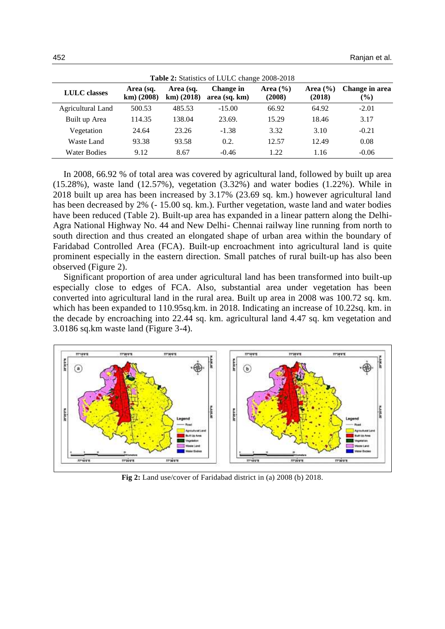| Table 2: Statistics of LULC change 2008-2018 |                           |                           |                            |                        |                        |                                 |  |  |  |
|----------------------------------------------|---------------------------|---------------------------|----------------------------|------------------------|------------------------|---------------------------------|--|--|--|
| <b>LULC</b> classes                          | Area (sq.<br>$km)$ (2008) | Area (sq.<br>$km)$ (2018) | Change in<br>area (sq. km) | Area $(\% )$<br>(2008) | Area $(\% )$<br>(2018) | Change in area<br>$\frac{6}{2}$ |  |  |  |
| Agricultural Land                            | 500.53                    | 485.53                    | $-15.00$                   | 66.92                  | 64.92                  | $-2.01$                         |  |  |  |
| Built up Area                                | 114.35                    | 138.04                    | 23.69.                     | 15.29                  | 18.46                  | 3.17                            |  |  |  |
| Vegetation                                   | 24.64                     | 23.26                     | $-1.38$                    | 3.32                   | 3.10                   | $-0.21$                         |  |  |  |
| Waste Land                                   | 93.38                     | 93.58                     | 0.2.                       | 12.57                  | 12.49                  | 0.08                            |  |  |  |
| Water Bodies                                 | 9.12                      | 8.67                      | $-0.46$                    | 1.22                   | 1.16                   | $-0.06$                         |  |  |  |

In 2008, 66.92 % of total area was covered by agricultural land, followed by built up area (15.28%), waste land (12.57%), vegetation (3.32%) and water bodies (1.22%). While in 2018 built up area has been increased by 3.17% (23.69 sq. km.) however agricultural land has been decreased by 2% (- 15.00 sq. km.). Further vegetation, waste land and water bodies have been reduced (Table 2). Built-up area has expanded in a linear pattern along the Delhi-Agra National Highway No. 44 and New Delhi- Chennai railway line running from north to south direction and thus created an elongated shape of urban area within the boundary of Faridabad Controlled Area (FCA). Built-up encroachment into agricultural land is quite prominent especially in the eastern direction. Small patches of rural built-up has also been observed (Figure 2).

Significant proportion of area under agricultural land has been transformed into built-up especially close to edges of FCA. Also, substantial area under vegetation has been converted into agricultural land in the rural area. Built up area in 2008 was 100.72 sq. km. which has been expanded to 110.95sq.km. in 2018. Indicating an increase of 10.22sq. km. in the decade by encroaching into 22.44 sq. km. agricultural land 4.47 sq. km vegetation and 3.0186 sq.km waste land (Figure 3-4).



**Fig 2:** Land use/cover of Faridabad district in (a) 2008 (b) 2018.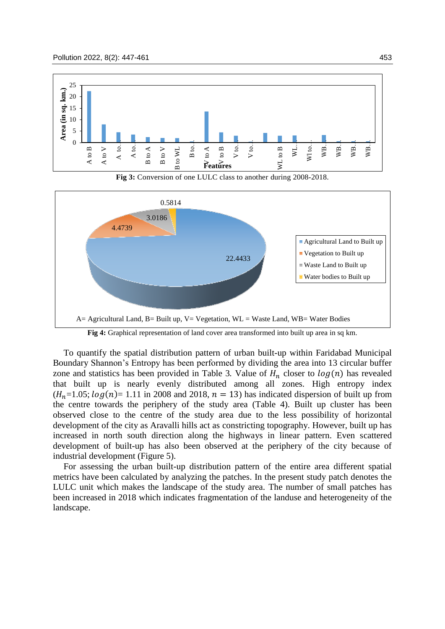





**Fig 4:** Graphical representation of land cover area transformed into built up area in sq km.

To quantify the spatial distribution pattern of urban built-up within Faridabad Municipal Boundary Shannon's Entropy has been performed by dividing the area into 13 circular buffer zone and statistics has been provided in Table 3. Value of  $H_n$  closer to  $log(n)$  has revealed that built up is nearly evenly distributed among all zones. High entropy index  $(H_n=1.05; log(n)= 1.11$  in 2008 and 2018,  $n = 13$ ) has indicated dispersion of built up from the centre towards the periphery of the study area (Table 4). Built up cluster has been observed close to the centre of the study area due to the less possibility of horizontal development of the city as Aravalli hills act as constricting topography. However, built up has increased in north south direction along the highways in linear pattern. Even scattered development of built-up has also been observed at the periphery of the city because of industrial development (Figure 5).

For assessing the urban built-up distribution pattern of the entire area different spatial metrics have been calculated by analyzing the patches. In the present study patch denotes the LULC unit which makes the landscape of the study area. The number of small patches has been increased in 2018 which indicates fragmentation of the landuse and heterogeneity of the landscape.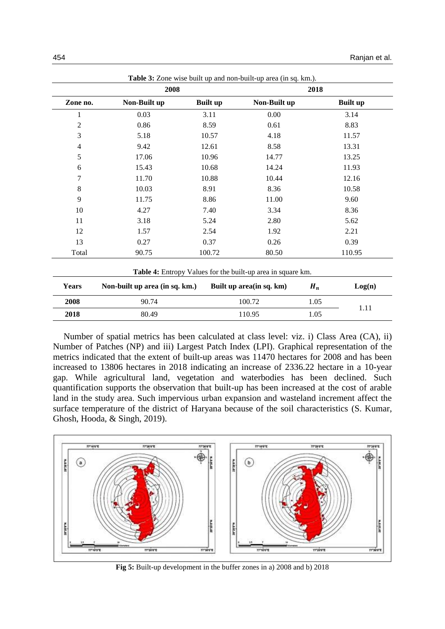| Non-Built up<br>0.03<br>0.86<br>5.18<br>9.42<br>17.06<br>15.43<br>11.70<br>10.03<br>11.75 | <b>Built up</b><br>3.11<br>8.59<br>10.57<br>12.61<br>10.96<br>10.68<br>10.88<br>8.91 | Non-Built up<br>0.00<br>0.61<br>4.18<br>8.58<br>14.77<br>14.24<br>10.44<br>8.36 | <b>Built up</b><br>3.14<br>8.83<br>11.57<br>13.31<br>13.25<br>11.93<br>12.16<br>10.58 |
|-------------------------------------------------------------------------------------------|--------------------------------------------------------------------------------------|---------------------------------------------------------------------------------|---------------------------------------------------------------------------------------|
|                                                                                           |                                                                                      |                                                                                 |                                                                                       |
|                                                                                           |                                                                                      |                                                                                 |                                                                                       |
|                                                                                           |                                                                                      |                                                                                 |                                                                                       |
|                                                                                           |                                                                                      |                                                                                 |                                                                                       |
|                                                                                           |                                                                                      |                                                                                 |                                                                                       |
|                                                                                           |                                                                                      |                                                                                 |                                                                                       |
|                                                                                           |                                                                                      |                                                                                 |                                                                                       |
|                                                                                           |                                                                                      |                                                                                 |                                                                                       |
|                                                                                           |                                                                                      |                                                                                 |                                                                                       |
|                                                                                           | 8.86                                                                                 | 11.00                                                                           | 9.60                                                                                  |
| 4.27                                                                                      | 7.40                                                                                 | 3.34                                                                            | 8.36                                                                                  |
| 3.18                                                                                      | 5.24                                                                                 | 2.80                                                                            | 5.62                                                                                  |
| 1.57                                                                                      | 2.54                                                                                 | 1.92                                                                            | 2.21                                                                                  |
| 0.27                                                                                      | 0.37                                                                                 | 0.26                                                                            | 0.39                                                                                  |
| 90.75                                                                                     | 100.72                                                                               | 80.50                                                                           | 110.95                                                                                |
|                                                                                           |                                                                                      |                                                                                 | Table 4: Entropy Values for the built-up area in square km.                           |

| <b>Years</b> | Non-built up area (in sq. km.) | Built up area (in sq. km) | $H_n$ | Log(n) |
|--------------|--------------------------------|---------------------------|-------|--------|
| 2008         | 90.74                          | 100.72                    | 1.05  | l.11   |
| 2018         | 80.49                          | 110.95                    | l.05  |        |
|              |                                |                           |       |        |

Number of spatial metrics has been calculated at class level: viz. i) Class Area (CA), ii) Number of Patches (NP) and iii) Largest Patch Index (LPI). Graphical representation of the metrics indicated that the extent of built-up areas was 11470 hectares for 2008 and has been increased to 13806 hectares in 2018 indicating an increase of 2336.22 hectare in a 10-year gap. While agricultural land, vegetation and waterbodies has been declined. Such quantification supports the observation that built-up has been increased at the cost of arable land in the study area. Such impervious urban expansion and wasteland increment affect the surface temperature of the district of Haryana because of the soil characteristics (S. Kumar, Ghosh, Hooda, & Singh, 2019).



**Fig 5:** Built-up development in the buffer zones in a) 2008 and b) 2018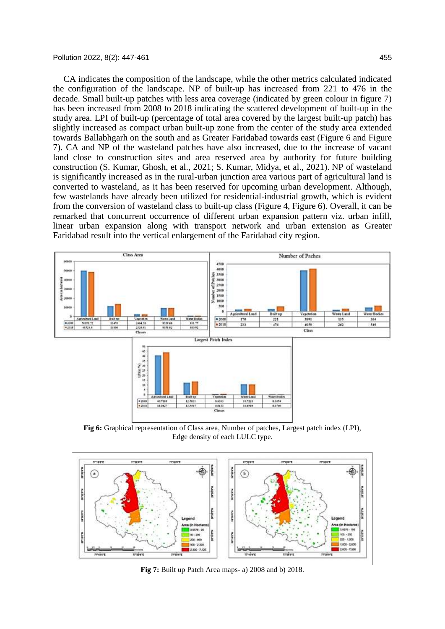CA indicates the composition of the landscape, while the other metrics calculated indicated the configuration of the landscape. NP of built-up has increased from 221 to 476 in the decade. Small built-up patches with less area coverage (indicated by green colour in figure 7) has been increased from 2008 to 2018 indicating the scattered development of built-up in the study area. LPI of built-up (percentage of total area covered by the largest built-up patch) has slightly increased as compact urban built-up zone from the center of the study area extended towards Ballabhgarh on the south and as Greater Faridabad towards east (Figure 6 and Figure 7). CA and NP of the wasteland patches have also increased, due to the increase of vacant land close to construction sites and area reserved area by authority for future building construction (S. Kumar, Ghosh, et al., 2021; S. Kumar, Midya, et al., 2021). NP of wasteland is significantly increased as in the rural-urban junction area various part of agricultural land is converted to wasteland, as it has been reserved for upcoming urban development. Although, few wastelands have already been utilized for residential-industrial growth, which is evident from the conversion of wasteland class to built-up class (Figure 4, Figure 6). Overall, it can be remarked that concurrent occurrence of different urban expansion pattern viz. urban infill, linear urban expansion along with transport network and urban extension as Greater Faridabad result into the vertical enlargement of the Faridabad city region.



**Fig 6:** Graphical representation of Class area, Number of patches, Largest patch index (LPI), Edge density of each LULC type.



**Fig 7:** Built up Patch Area maps- a) 2008 and b) 2018.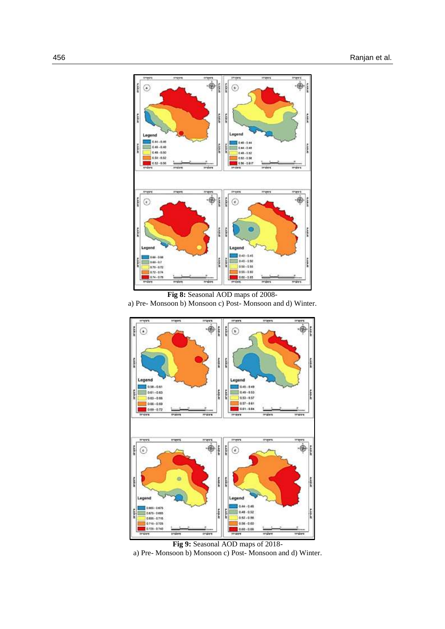

**Fig 8:** Seasonal AOD maps of 2008-

a) Pre- Monsoon b) Monsoon c) Post- Monsoon and d) Winter.



**Fig 9:** Seasonal AOD maps of 2018 a) Pre- Monsoon b) Monsoon c) Post- Monsoon and d) Winter.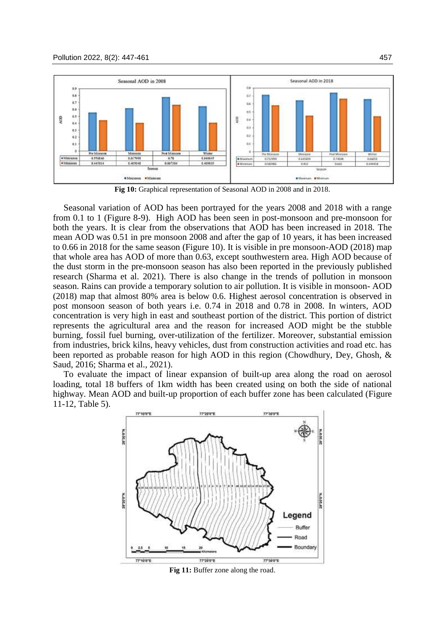

**Fig 10:** Graphical representation of Seasonal AOD in 2008 and in 2018.

Seasonal variation of AOD has been portrayed for the years 2008 and 2018 with a range from 0.1 to 1 (Figure 8-9). High AOD has been seen in post-monsoon and pre-monsoon for both the years. It is clear from the observations that AOD has been increased in 2018. The mean AOD was 0.51 in pre monsoon 2008 and after the gap of 10 years, it has been increased to 0.66 in 2018 for the same season (Figure 10). It is visible in pre monsoon-AOD (2018) map that whole area has AOD of more than 0.63, except southwestern area. High AOD because of the dust storm in the pre-monsoon season has also been reported in the previously published research (Sharma et al. 2021). There is also change in the trends of pollution in monsoon season. Rains can provide a temporary solution to air pollution. It is visible in monsoon- AOD (2018) map that almost 80% area is below 0.6. Highest aerosol concentration is observed in post monsoon season of both years i.e. 0.74 in 2018 and 0.78 in 2008. In winters, AOD concentration is very high in east and southeast portion of the district. This portion of district represents the agricultural area and the reason for increased AOD might be the stubble burning, fossil fuel burning, over-utilization of the fertilizer. Moreover, substantial emission from industries, brick kilns, heavy vehicles, dust from construction activities and road etc. has been reported as probable reason for high AOD in this region (Chowdhury, Dey, Ghosh, & Saud, 2016; Sharma et al., 2021).

To evaluate the impact of linear expansion of built-up area along the road on aerosol loading, total 18 buffers of 1km width has been created using on both the side of national highway. Mean AOD and built-up proportion of each buffer zone has been calculated (Figure 11-12, Table 5).



Fig 11: Buffer zone along the road.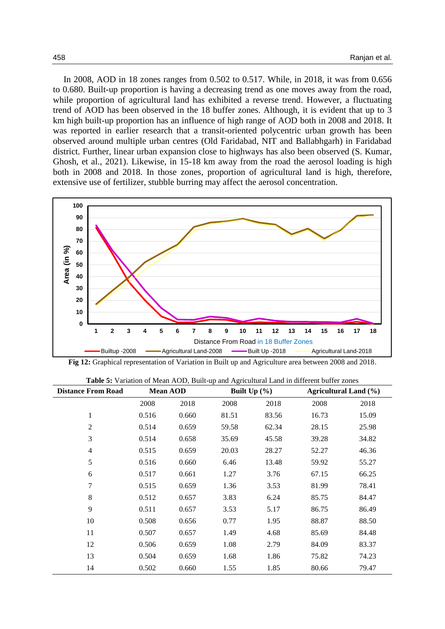In 2008, AOD in 18 zones ranges from 0.502 to 0.517. While, in 2018, it was from 0.656 to 0.680. Built-up proportion is having a decreasing trend as one moves away from the road, while proportion of agricultural land has exhibited a reverse trend. However, a fluctuating trend of AOD has been observed in the 18 buffer zones. Although, it is evident that up to 3 km high built-up proportion has an influence of high range of AOD both in 2008 and 2018. It was reported in earlier research that a transit-oriented polycentric urban growth has been observed around multiple urban centres (Old Faridabad, NIT and Ballabhgarh) in Faridabad district. Further, linear urban expansion close to highways has also been observed (S. Kumar, Ghosh, et al., 2021). Likewise, in 15-18 km away from the road the aerosol loading is high both in 2008 and 2018. In those zones, proportion of agricultural land is high, therefore, extensive use of fertilizer, stubble burring may affect the aerosol concentration.



**Fig 12:** Graphical representation of Variation in Built up and Agriculture area between 2008 and 2018.

|  |  |  | <b>Table 5:</b> Variation of Mean AOD, Built-up and Agricultural Land in different buffer zones |  |  |
|--|--|--|-------------------------------------------------------------------------------------------------|--|--|
|  |  |  |                                                                                                 |  |  |

| <b>Distance From Road</b> | <b>Mean AOD</b> |       |       | Built $Up(%)$ |       | <b>Agricultural Land (%)</b> |  |  |
|---------------------------|-----------------|-------|-------|---------------|-------|------------------------------|--|--|
|                           | 2008            | 2018  | 2008  | 2018          | 2008  | 2018                         |  |  |
| $\mathbf{1}$              | 0.516           | 0.660 | 81.51 | 83.56         | 16.73 | 15.09                        |  |  |
| $\overline{2}$            | 0.514           | 0.659 | 59.58 | 62.34         | 28.15 | 25.98                        |  |  |
| 3                         | 0.514           | 0.658 | 35.69 | 45.58         | 39.28 | 34.82                        |  |  |
| $\overline{4}$            | 0.515           | 0.659 | 20.03 | 28.27         | 52.27 | 46.36                        |  |  |
| 5                         | 0.516           | 0.660 | 6.46  | 13.48         | 59.92 | 55.27                        |  |  |
| 6                         | 0.517           | 0.661 | 1.27  | 3.76          | 67.15 | 66.25                        |  |  |
| 7                         | 0.515           | 0.659 | 1.36  | 3.53          | 81.99 | 78.41                        |  |  |
| 8                         | 0.512           | 0.657 | 3.83  | 6.24          | 85.75 | 84.47                        |  |  |
| 9                         | 0.511           | 0.657 | 3.53  | 5.17          | 86.75 | 86.49                        |  |  |
| 10                        | 0.508           | 0.656 | 0.77  | 1.95          | 88.87 | 88.50                        |  |  |
| 11                        | 0.507           | 0.657 | 1.49  | 4.68          | 85.69 | 84.48                        |  |  |
| 12                        | 0.506           | 0.659 | 1.08  | 2.79          | 84.09 | 83.37                        |  |  |
| 13                        | 0.504           | 0.659 | 1.68  | 1.86          | 75.82 | 74.23                        |  |  |
| 14                        | 0.502           | 0.660 | 1.55  | 1.85          | 80.66 | 79.47                        |  |  |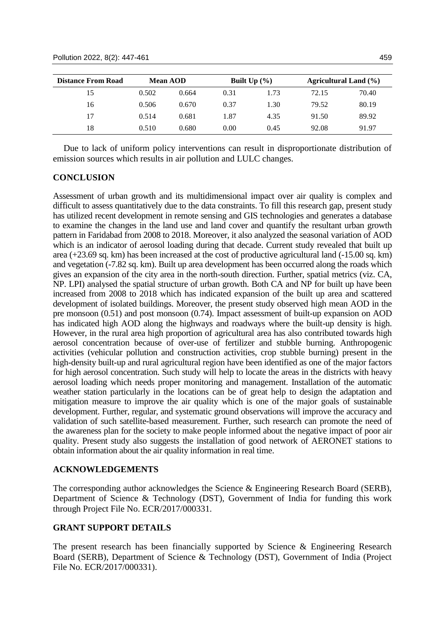| <b>Distance From Road</b> |       | <b>Mean AOD</b> | Built $Up(%)$ |      |       | Agricultural Land (%) |
|---------------------------|-------|-----------------|---------------|------|-------|-----------------------|
| 15                        | 0.502 | 0.664           | 0.31          | 1.73 | 72.15 | 70.40                 |
| 16                        | 0.506 | 0.670           | 0.37          | 1.30 | 79.52 | 80.19                 |
| 17                        | 0.514 | 0.681           | 1.87          | 4.35 | 91.50 | 89.92                 |
| 18                        | 0.510 | 0.680           | 0.00          | 0.45 | 92.08 | 91.97                 |

Due to lack of uniform policy interventions can result in disproportionate distribution of emission sources which results in air pollution and LULC changes.

#### **CONCLUSION**

Assessment of urban growth and its multidimensional impact over air quality is complex and difficult to assess quantitatively due to the data constraints. To fill this research gap, present study has utilized recent development in remote sensing and GIS technologies and generates a database to examine the changes in the land use and land cover and quantify the resultant urban growth pattern in Faridabad from 2008 to 2018. Moreover, it also analyzed the seasonal variation of AOD which is an indicator of aerosol loading during that decade. Current study revealed that built up area (+23.69 sq. km) has been increased at the cost of productive agricultural land (-15.00 sq. km) and vegetation (-7.82 sq. km). Built up area development has been occurred along the roads which gives an expansion of the city area in the north-south direction. Further, spatial metrics (viz. CA, NP. LPI) analysed the spatial structure of urban growth. Both CA and NP for built up have been increased from 2008 to 2018 which has indicated expansion of the built up area and scattered development of isolated buildings. Moreover, the present study observed high mean AOD in the pre monsoon (0.51) and post monsoon (0.74). Impact assessment of built-up expansion on AOD has indicated high AOD along the highways and roadways where the built-up density is high. However, in the rural area high proportion of agricultural area has also contributed towards high aerosol concentration because of over-use of fertilizer and stubble burning. Anthropogenic activities (vehicular pollution and construction activities, crop stubble burning) present in the high-density built-up and rural agricultural region have been identified as one of the major factors for high aerosol concentration. Such study will help to locate the areas in the districts with heavy aerosol loading which needs proper monitoring and management. Installation of the automatic weather station particularly in the locations can be of great help to design the adaptation and mitigation measure to improve the air quality which is one of the major goals of sustainable development. Further, regular, and systematic ground observations will improve the accuracy and validation of such satellite-based measurement. Further, such research can promote the need of the awareness plan for the society to make people informed about the negative impact of poor air quality. Present study also suggests the installation of good network of AERONET stations to obtain information about the air quality information in real time.

#### **ACKNOWLEDGEMENTS**

The corresponding author acknowledges the Science & Engineering Research Board (SERB), Department of Science & Technology (DST), Government of India for funding this work through Project File No. ECR/2017/000331.

### **GRANT SUPPORT DETAILS**

The present research has been financially supported by Science & Engineering Research Board (SERB), Department of Science & Technology (DST), Government of India (Project File No. ECR/2017/000331).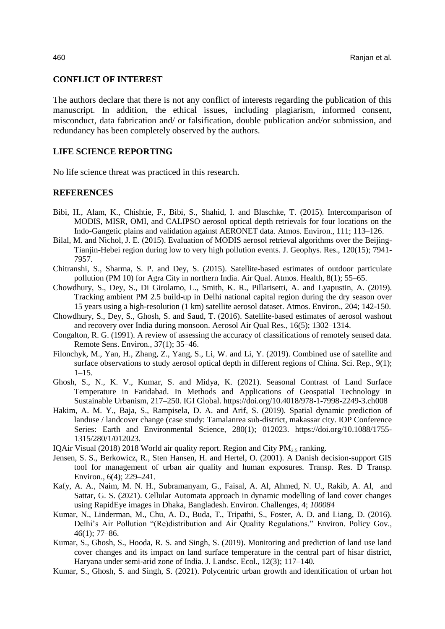#### **CONFLICT OF INTEREST**

The authors declare that there is not any conflict of interests regarding the publication of this manuscript. In addition, the ethical issues, including plagiarism, informed consent, misconduct, data fabrication and/ or falsification, double publication and/or submission, and redundancy has been completely observed by the authors.

## **LIFE SCIENCE REPORTING**

No life science threat was practiced in this research.

#### **REFERENCES**

- Bibi, H., Alam, K., Chishtie, F., Bibi, S., Shahid, I. and Blaschke, T. (2015). Intercomparison of MODIS, MISR, OMI, and CALIPSO aerosol optical depth retrievals for four locations on the Indo-Gangetic plains and validation against AERONET data. Atmos. Environ., 111; 113–126.
- Bilal, M. and Nichol, J. E. (2015). Evaluation of MODIS aerosol retrieval algorithms over the Beijing-Tianjin-Hebei region during low to very high pollution events. J. Geophys. Res., 120(15); 7941- 7957.
- Chitranshi, S., Sharma, S. P. and Dey, S. (2015). Satellite-based estimates of outdoor particulate pollution (PM 10) for Agra City in northern India. Air Qual. Atmos. Health, 8(1); 55–65.
- Chowdhury, S., Dey, S., Di Girolamo, L., Smith, K. R., Pillarisetti, A. and Lyapustin, A. (2019). Tracking ambient PM 2.5 build-up in Delhi national capital region during the dry season over 15 years using a high-resolution (1 km) satellite aerosol dataset. Atmos. Environ., 204; 142-150.
- Chowdhury, S., Dey, S., Ghosh, S. and Saud, T. (2016). Satellite-based estimates of aerosol washout and recovery over India during monsoon. Aerosol Air Qual Res., 16(5); 1302–1314.
- Congalton, R. G. (1991). A review of assessing the accuracy of classifications of remotely sensed data. Remote Sens. Environ., 37(1); 35–46.
- Filonchyk, M., Yan, H., Zhang, Z., Yang, S., Li, W. and Li, Y. (2019). Combined use of satellite and surface observations to study aerosol optical depth in different regions of China. Sci. Rep., 9(1);  $1 - 15$ .
- Ghosh, S., N., K. V., Kumar, S. and Midya, K. (2021). Seasonal Contrast of Land Surface Temperature in Faridabad. In Methods and Applications of Geospatial Technology in Sustainable Urbanism, 217–250. IGI Global. https://doi.org/10.4018/978-1-7998-2249-3.ch008
- Hakim, A. M. Y., Baja, S., Rampisela, D. A. and Arif, S. (2019). Spatial dynamic prediction of landuse / landcover change (case study: Tamalanrea sub-district, makassar city. IOP Conference Series: Earth and Environmental Science, 280(1); 012023. https://doi.org/10.1088/1755- 1315/280/1/012023.
- IQAir Visual (2018) 2018 World air quality report. Region and City  $PM_{2.5}$  ranking.
- Jensen, S. S., Berkowicz, R., Sten Hansen, H. and Hertel, O. (2001). A Danish decision-support GIS tool for management of urban air quality and human exposures. Transp. Res. D Transp. Environ., 6(4); 229–241.
- Kafy, A. A., Naim, M. N. H., Subramanyam, G., Faisal, A. Al, Ahmed, N. U., Rakib, A. Al, and Sattar, G. S. (2021). Cellular Automata approach in dynamic modelling of land cover changes using RapidEye images in Dhaka, Bangladesh. Environ. Challenges, 4; *100084*
- Kumar, N., Linderman, M., Chu, A. D., Buda, T., Tripathi, S., Foster, A. D. and Liang, D. (2016). Delhi's Air Pollution "(Re)distribution and Air Quality Regulations." Environ. Policy Gov., 46(1); 77–86.
- Kumar, S., Ghosh, S., Hooda, R. S. and Singh, S. (2019). Monitoring and prediction of land use land cover changes and its impact on land surface temperature in the central part of hisar district, Haryana under semi-arid zone of India. J. Landsc. Ecol., 12(3); 117–140.
- Kumar, S., Ghosh, S. and Singh, S. (2021). Polycentric urban growth and identification of urban hot